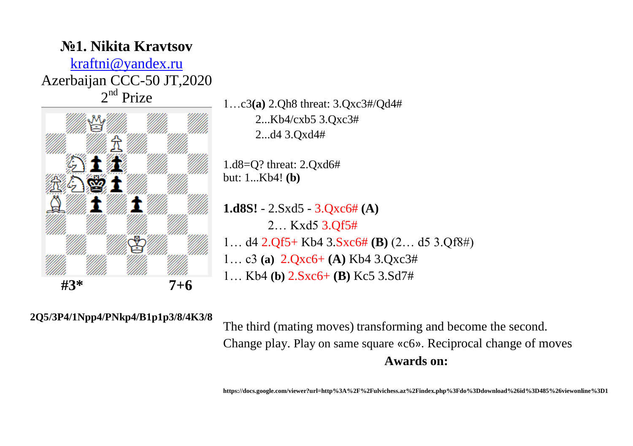

1…c3**(a)** 2.Qh8 threat: 3.Qxc3#/Qd4# 2...Kb4/cxb5 3.Qxc3# 2...d4 3.Qxd4#

1.d8=Q? threat: 2.Qxd6# but: 1...Kb4! **(b)**

**1.d8S!** - 2.Sxd5 - 3.Qxc6# **(A)** 2… Kxd5 3.Qf5# 1… d4 2.Qf5+ Kb4 3.Sxc6# **(B)** (2… d5 3.Qf8#) 1… c3 **(a)** 2.Qxc6+ **(A)** Kb4 3.Qxc3# 1… Kb4 **(b)** 2.Sxc6+ **(B)** Kc5 3.Sd7#

**2Q5/3P4/1Npp4/PNkp4/B1p1p3/8/4K3/8**

The third (mating moves) transforming and become the second. Change play. Play on same square «c6». Reciprocal change of moves **Awards on:**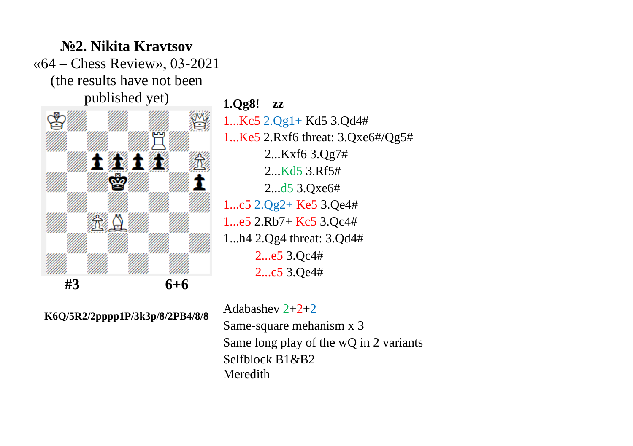

**№2. Nikita Kravtsov**

**1.Qg8! – zz** 1...Kc5 2.Qg1+ Kd5 3.Qd4# 1...Ke5 2.Rxf6 threat: 3.Qxe6#/Qg5# 2...Kxf6 3.Qg7# 2...Kd5 3.Rf5# 2...d5 3.Qxe6# 1...c5 2.Qg2+ Ke5 3.Qe4# 1...e5 2.Rb7+ Kc5 3.Qc4# 1...h4 2.Qg4 threat: 3.Qd4# 2...e5 3.Qc4# 2...c5 3.Qe4#

**K6Q/5R2/2pppp1P/3k3p/8/2PB4/8/8** 

Adabashev 2+2+2 Same-square mehanism х 3 Same long play of the wQ in 2 variants Selfblock B1&B2 Meredith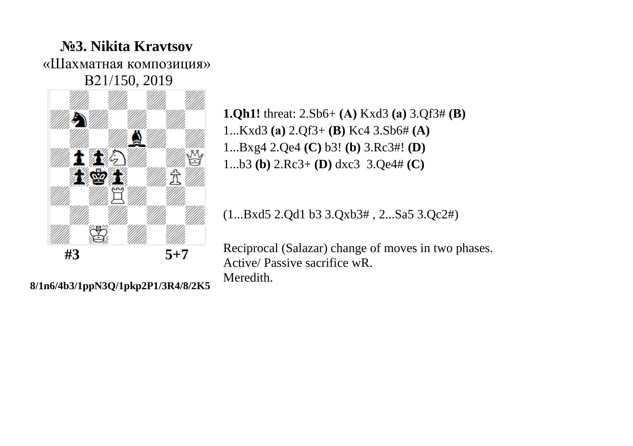## **№3. Nikita Kravtsov** «Шахматная композиция» В21/150, 2019



**8/1n6/4b3/1ppN3Q/1pkp2P1/3R4/8/2K5**

**1.Qh1!** threat: 2.Sb6+ **(А)** Kxd3 **(а)** 3.Qf3# **(B)** 1...Kxd3 **(а)** 2.Qf3+ **(B)** Kc4 3.Sb6# **(A)** 1...Bxg4 2.Qe4 **(C)** b3! **(b)** 3.Rc3#! **(D)** 1...b3 **(b)** 2.Rc3+ **(D)** dxc3 3.Qe4# **(C)**

(1...Bxd5 2.Qd1 b3 3.Qxb3# , 2...Sa5 3.Qc2#)

Reciprocal (Salazar) change of moves in two phases. Active/ Passive sacrifice wR. Meredith.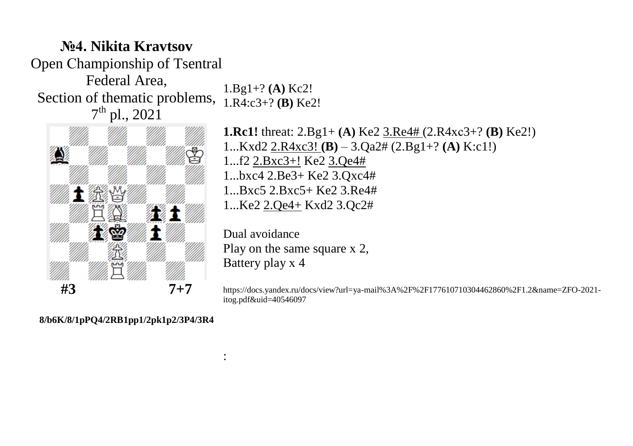## **№4. Nikita Kravtsov** Open Сhampionship of Tsentral Federal Area, Section of thematic problems,  $1.R4:c3+?$  **(B)** Ke2!  $7^{\text{th}}$  pl., 2021 1.Bg1+? **(A)** Kc2!



**1.Rc1!** threat: 2.Bg1+ **(A)** Ke2 3.Re4# (2.R4хс3+? **(B)** Ke2!) 1...Kxd2 2.R4xc3! **(B)** – 3.Qa2# (2.Bg1+? **(A)** K:c1!) 1...f2 2.Bxc3+! Ke2 3.Qe4# 1...bxc4 2.Be3+ Ke2 3.Qxc4# 1...Bxc5 2.Bxc5+ Ke2 3.Re4# 1...Ke2 2.Qe4+ Kxd2 3.Qc2#

Dual avoidance Рlay on the same square х 2, Вattery play х 4

:

https://docs.yandex.ru/docs/view?url=ya-mail%3A%2F%2F177610710304462860%2F1.2&name=ZFO-2021 itog.pdf&uid=40546097

**8/b6K/8/1pPQ4/2RB1pp1/2pk1p2/3P4/3R4**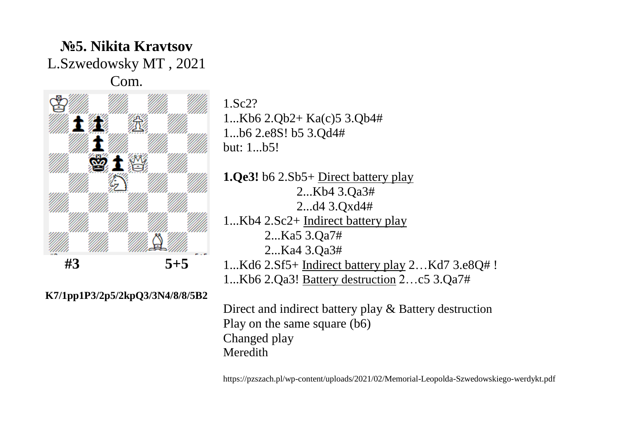## **№5. Nikita Kravtsov** L.Szwedowsky MT , 2021 Com.



1.Sc2? 1...Kb6 2.Qb2+ Ka(c)5 3.Qb4# 1...b6 2.e8S! b5 3.Qd4# but: 1...b5!

**1.Qe3!** b6 2.Sb5+ Direct battery play 2...Kb4 3.Qa3# 2...d4 3.Qxd4# 1...Kb4 2.Sc2+ Indirect battery play 2...Ka5 3.Qa7# 2...Ka4 3.Qa3# 1...Kd6 2.Sf5+ Indirect battery play 2…Kd7 3.e8Q# ! 1...Kb6 2.Qa3! Battery destruction 2…c5 3.Qa7#

**K7/1pp1P3/2p5/2kpQ3/3N4/8/8/5B2** 

Direct and indirect battery play & Battery destruction Play on the same square (b6) Changed play Meredith

https://pzszach.pl/wp-content/uploads/2021/02/Memorial-Leopolda-Szwedowskiego-werdykt.pdf